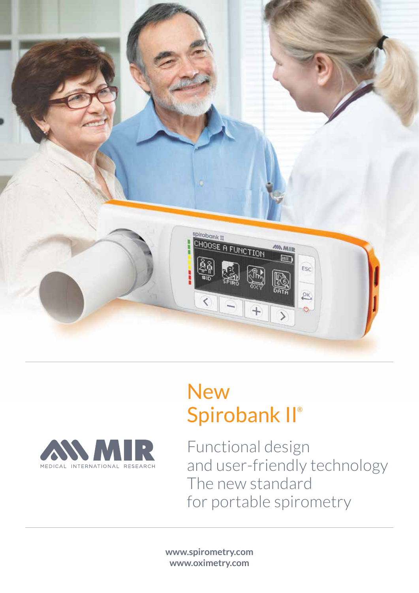

# **New** Spirobank II®



Functional design and user-friendly technology The new standard for portable spirometry

**www.spirometry.com www.oximetry.com**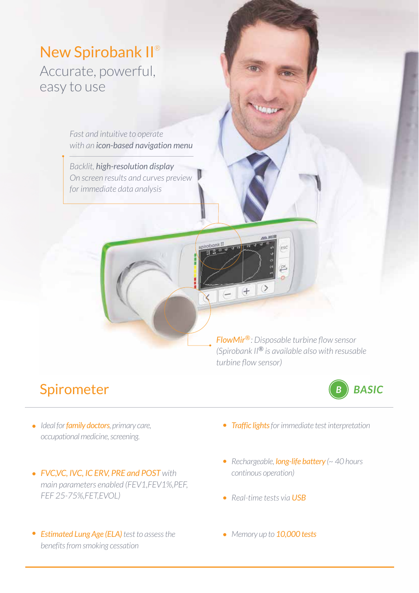New Spirobank II® Accurate, powerful, easy to use

> *Fast and intuitive to operate with an icon-based navigation menu*

> *Backlit, high-resolution display On screen results and curves preview for immediate data analysis*

> > pirobank II

*FlowMir<sup>®</sup>: Disposable turbine flow sensor (Spirobank II® is available also with resusable turbine fl ow sensor)*

 $\circ$ 

 $+$ 

## Spirometer



- *Ideal for family doctors, primary care, occupational medicine, screening.*
- *FVC,VC, IVC, IC ERV, PRE and POST with main parameters enabled (FEV1,FEV1%,PEF, FEF 25-75%,FET,EVOL)*
- *Estimated Lung Age (ELA) test to assess the benefits from smoking cessation*
- *Traffic lights for immediate test interpretation*
- *Rechargeable, long-life battery (~ 40 hours continous operation)*
- *Real-time tests via USB*
- *Memory up to 10,000 tests*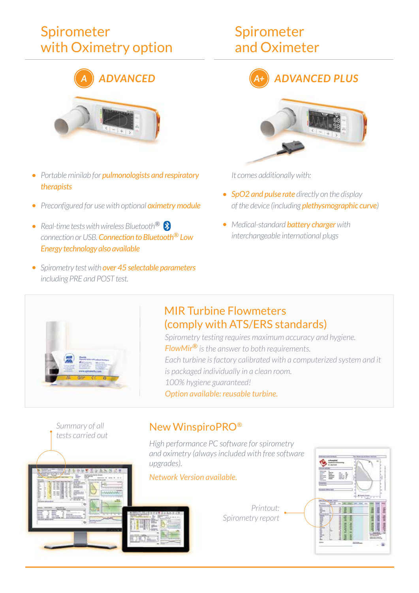## Spirometer with Oximetry option



- *Portable minilab for pulmonologists and respiratory therapists*
- **•** Preconfigured for use with optional *oximetry module*
- *Real-time tests with wireless Bluetooth® connection or USB. Connection to Bluetooth® Low Energy technology also available*
- *Spirometry test with over 45 selectable parameters including PRE and POST test.*

## Spirometer and Oximeter





*It comes additionally with:*

- *SpO2 and pulse rate directly on the display of the device (including plethysmographic curve)*
- *Medical-standard battery charger with interchangeable international plugs*



#### MIR Turbine Flowmeters (comply with ATS/ERS standards)

*Spirometry testing requires maximum accuracy and hygiene. FlowMir® is the answer to both requirements. Each turbine is factory calibrated with a computerized system and it is packaged individually in a clean room. 100% hygiene guaranteed! Option available: reusable turbine.*



#### New WinspiroPRO*®*

*High performance PC software for spirometry and oximetry (always included with free software upgrades).*



*Printout: Spirometry report*